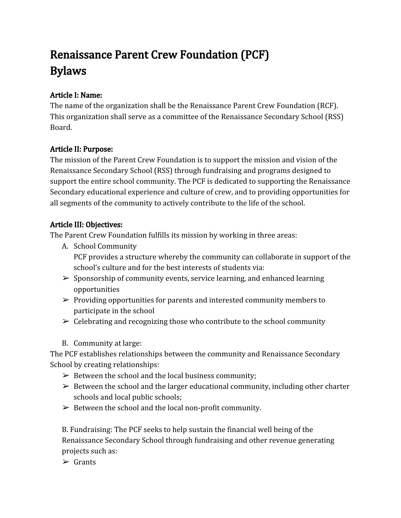# Renaissance Parent Crew Foundation (PCF) Bylaws

## Article I: Name:

The name of the organization shall be the Renaissance Parent Crew Foundation (RCF). This organization shall serve as a committee of the Renaissance Secondary School (RSS) Board.

## Article II: Purpose:

The mission of the Parent Crew Foundation is to support the mission and vision of the Renaissance Secondary School (RSS) through fundraising and programs designed to support the entire school community. The PCF is dedicated to supporting the Renaissance Secondary educational experience and culture of crew, and to providing opportunities for all segments of the community to actively contribute to the life of the school.

## Article III: Objectives:

The Parent Crew Foundation fulfills its mission by working in three areas:

- A. School Community PCF provides a structure whereby the community can collaborate in support of the school's culture and for the best interests of students via:
- $\triangleright$  Sponsorship of community events, service learning, and enhanced learning opportunities
- $\triangleright$  Providing opportunities for parents and interested community members to participate in the school
- $\triangleright$  Celebrating and recognizing those who contribute to the school community
- B. Community at large:

The PCF establishes relationships between the community and Renaissance Secondary School by creating relationships:

- $\triangleright$  Between the school and the local business community;
- $\triangleright$  Between the school and the larger educational community, including other charter schools and local public schools;
- $\triangleright$  Between the school and the local non-profit community.

B. Fundraising: The PCF seeks to help sustain the financial well being of the Renaissance Secondary School through fundraising and other revenue generating projects such as:

 $\triangleright$  Grants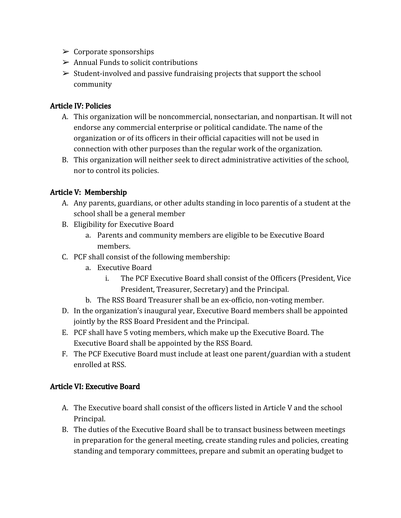- $\triangleright$  Corporate sponsorships
- $\triangleright$  Annual Funds to solicit contributions
- $\geq$  Student-involved and passive fundraising projects that support the school community

#### Article IV: Policies

- A. This organization will be noncommercial, nonsectarian, and nonpartisan. It will not endorse any commercial enterprise or political candidate. The name of the organization or of its officers in their official capacities will not be used in connection with other purposes than the regular work of the organization.
- B. This organization will neither seek to direct administrative activities of the school, nor to control its policies.

## Article V: Membership

- A. Any parents, guardians, or other adults standing in loco parentis of a student at the school shall be a general member
- B. Eligibility for Executive Board
	- a. Parents and community members are eligible to be Executive Board members.
- C. PCF shall consist of the following membership:
	- a. Executive Board
		- i. The PCF Executive Board shall consist of the Officers (President, Vice President, Treasurer, Secretary) and the Principal.
	- b. The RSS Board Treasurer shall be an ex-officio, non-voting member.
- D. In the organization's inaugural year, Executive Board members shall be appointed jointly by the RSS Board President and the Principal.
- E. PCF shall have 5 voting members, which make up the Executive Board. The Executive Board shall be appointed by the RSS Board.
- F. The PCF Executive Board must include at least one parent/guardian with a student enrolled at RSS.

#### Article VI: Executive Board

- A. The Executive board shall consist of the officers listed in Article V and the school Principal.
- B. The duties of the Executive Board shall be to transact business between meetings in preparation for the general meeting, create standing rules and policies, creating standing and temporary committees, prepare and submit an operating budget to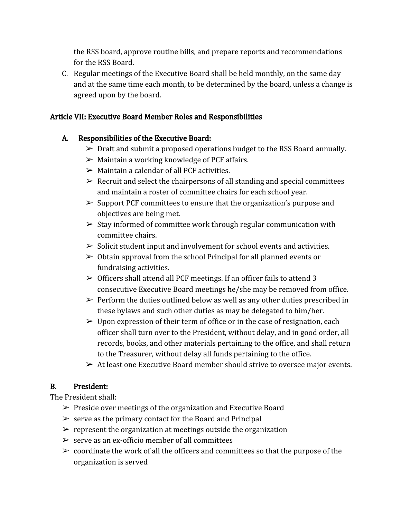the RSS board, approve routine bills, and prepare reports and recommendations for the RSS Board.

C. Regular meetings of the Executive Board shall be held monthly, on the same day and at the same time each month, to be determined by the board, unless a change is agreed upon by the board.

#### Article VII: Executive Board Member Roles and Responsibilities

## A. Responsibilities of the Executive Board:

- $\triangleright$  Draft and submit a proposed operations budget to the RSS Board annually.
- $\triangleright$  Maintain a working knowledge of PCF affairs.
- $\triangleright$  Maintain a calendar of all PCF activities.
- $\triangleright$  Recruit and select the chairpersons of all standing and special committees and maintain a roster of committee chairs for each school year.
- $\triangleright$  Support PCF committees to ensure that the organization's purpose and objectives are being met.
- $\triangleright$  Stay informed of committee work through regular communication with committee chairs.
- $\triangleright$  Solicit student input and involvement for school events and activities.
- $\geq 0$ btain approval from the school Principal for all planned events or fundraising activities.
- $\geq$  Officers shall attend all PCF meetings. If an officer fails to attend 3 consecutive Executive Board meetings he/she may be removed from office.
- $\triangleright$  Perform the duties outlined below as well as any other duties prescribed in these bylaws and such other duties as may be delegated to him/her.
- $\triangleright$  Upon expression of their term of office or in the case of resignation, each officer shall turn over to the President, without delay, and in good order, all records, books, and other materials pertaining to the office, and shall return to the Treasurer, without delay all funds pertaining to the office.
- $\triangleright$  At least one Executive Board member should strive to oversee major events.

## B. President:

The President shall:

- $\triangleright$  Preside over meetings of the organization and Executive Board
- $\triangleright$  serve as the primary contact for the Board and Principal
- $\triangleright$  represent the organization at meetings outside the organization
- $\ge$  serve as an ex-officio member of all committees
- $\triangleright$  coordinate the work of all the officers and committees so that the purpose of the organization is served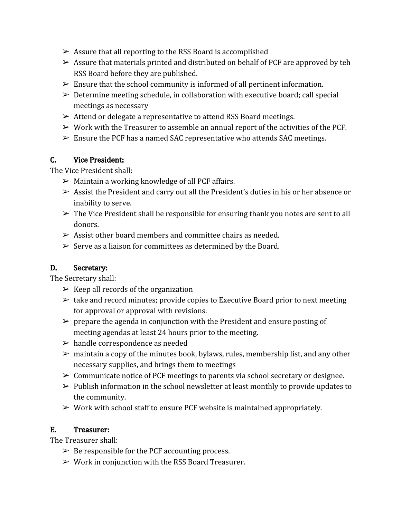- $\triangleright$  Assure that all reporting to the RSS Board is accomplished
- $\triangleright$  Assure that materials printed and distributed on behalf of PCF are approved by teh RSS Board before they are published.
- $\triangleright$  Ensure that the school community is informed of all pertinent information.
- $\triangleright$  Determine meeting schedule, in collaboration with executive board; call special meetings as necessary
- $\triangleright$  Attend or delegate a representative to attend RSS Board meetings.
- $\triangleright$  Work with the Treasurer to assemble an annual report of the activities of the PCF.
- $\triangleright$  Ensure the PCF has a named SAC representative who attends SAC meetings.

#### C. Vice President:

The Vice President shall:

- $\triangleright$  Maintain a working knowledge of all PCF affairs.
- $\triangleright$  Assist the President and carry out all the President's duties in his or her absence or inability to serve.
- $\triangleright$  The Vice President shall be responsible for ensuring thank you notes are sent to all donors.
- $\geq$  Assist other board members and committee chairs as needed.
- $\triangleright$  Serve as a liaison for committees as determined by the Board.

## D. Secretary:

The Secretary shall:

- $\triangleright$  Keep all records of the organization
- $\geq$  take and record minutes; provide copies to Executive Board prior to next meeting for approval or approval with revisions.
- $\triangleright$  prepare the agenda in conjunction with the President and ensure posting of meeting agendas at least 24 hours prior to the meeting.
- $\triangleright$  handle correspondence as needed
- $\triangleright$  maintain a copy of the minutes book, bylaws, rules, membership list, and any other necessary supplies, and brings them to meetings
- $\triangleright$  Communicate notice of PCF meetings to parents via school secretary or designee.
- $\triangleright$  Publish information in the school newsletter at least monthly to provide updates to the community.
- $\triangleright$  Work with school staff to ensure PCF website is maintained appropriately.

## E. Treasurer:

The Treasurer shall:

- $\triangleright$  Be responsible for the PCF accounting process.
- $\triangleright$  Work in conjunction with the RSS Board Treasurer.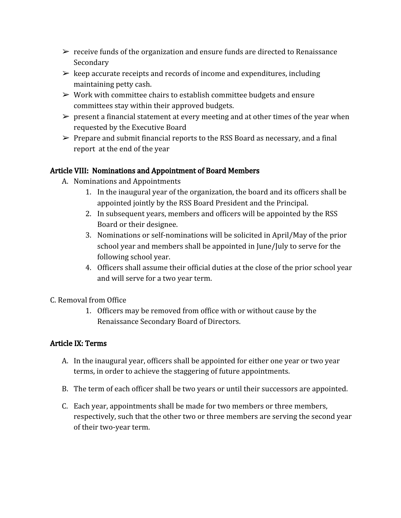- $\triangleright$  receive funds of the organization and ensure funds are directed to Renaissance Secondary
- $\triangleright$  keep accurate receipts and records of income and expenditures, including maintaining petty cash.
- $\triangleright$  Work with committee chairs to establish committee budgets and ensure committees stay within their approved budgets.
- $\triangleright$  present a financial statement at every meeting and at other times of the year when requested by the Executive Board
- $\triangleright$  Prepare and submit financial reports to the RSS Board as necessary, and a final report at the end of the year

## Article VIII: Nominations and Appointment of Board Members

- A. Nominations and Appointments
	- 1. In the inaugural year of the organization, the board and its officers shall be appointed jointly by the RSS Board President and the Principal.
	- 2. In subsequent years, members and officers will be appointed by the RSS Board or their designee.
	- 3. Nominations or self-nominations will be solicited in April/May of the prior school year and members shall be appointed in June/July to serve for the following school year.
	- 4. Officers shall assume their official duties at the close of the prior school year and will serve for a two year term.
- C. Removal from Office
	- 1. Officers may be removed from office with or without cause by the Renaissance Secondary Board of Directors.

## Article IX: Terms

- A. In the inaugural year, officers shall be appointed for either one year or two year terms, in order to achieve the staggering of future appointments.
- B. The term of each officer shall be two years or until their successors are appointed.
- C. Each year, appointments shall be made for two members or three members, respectively, such that the other two or three members are serving the second year of their two-year term.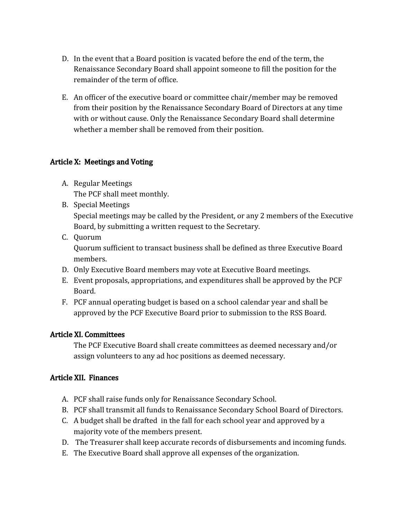- D. In the event that a Board position is vacated before the end of the term, the Renaissance Secondary Board shall appoint someone to fill the position for the remainder of the term of office.
- E. An officer of the executive board or committee chair/member may be removed from their position by the Renaissance Secondary Board of Directors at any time with or without cause. Only the Renaissance Secondary Board shall determine whether a member shall be removed from their position.

#### Article X: Meetings and Voting

- A. Regular Meetings The PCF shall meet monthly.
- B. Special Meetings Special meetings may be called by the President, or any 2 members of the Executive Board, by submitting a written request to the Secretary.
- C. Quorum Quorum sufficient to transact business shall be defined as three Executive Board members.
- D. Only Executive Board members may vote at Executive Board meetings.
- E. Event proposals, appropriations, and expenditures shall be approved by the PCF Board.
- F. PCF annual operating budget is based on a school calendar year and shall be approved by the PCF Executive Board prior to submission to the RSS Board.

#### Article XI. Committees

The PCF Executive Board shall create committees as deemed necessary and/or assign volunteers to any ad hoc positions as deemed necessary.

## Article XII. Finances

- A. PCF shall raise funds only for Renaissance Secondary School.
- B. PCF shall transmit all funds to Renaissance Secondary School Board of Directors.
- C. A budget shall be drafted in the fall for each school year and approved by a majority vote of the members present.
- D. The Treasurer shall keep accurate records of disbursements and incoming funds.
- E. The Executive Board shall approve all expenses of the organization.